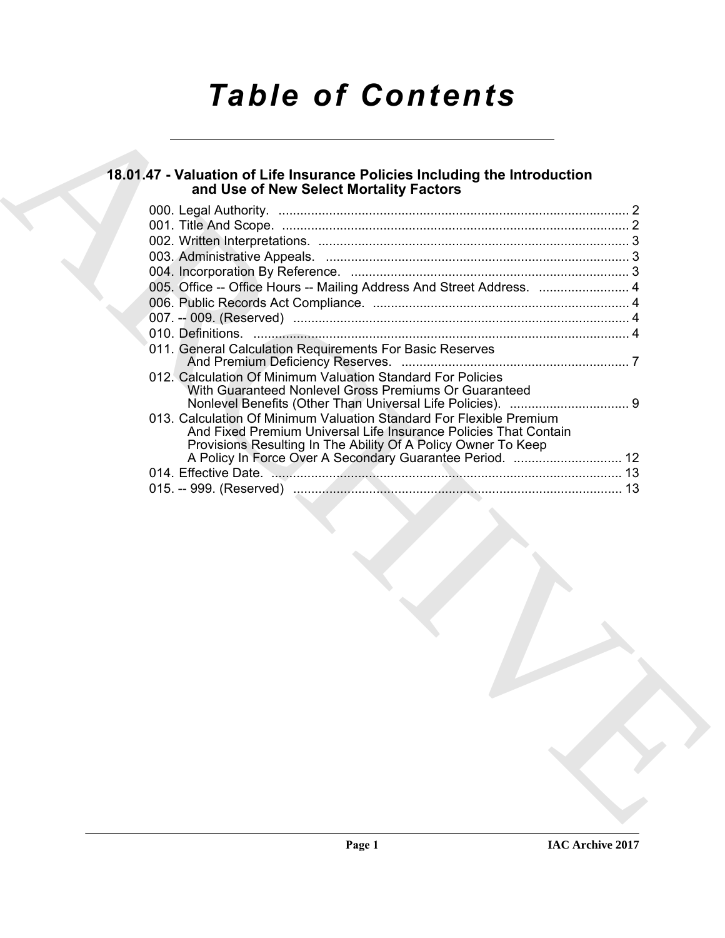# *Table of Contents*

### **18.01.47 - Valuation of Life Insurance Policies Including the Introduction and Use of New Select Mortality Factors**

| 005. Office -- Office Hours -- Mailing Address And Street Address.  4<br>011. General Calculation Requirements For Basic Reserves<br>012. Calculation Of Minimum Valuation Standard For Policies<br>With Guaranteed Nonlevel Gross Premiums Or Guaranteed<br>013. Calculation Of Minimum Valuation Standard For Flexible Premium<br>And Fixed Premium Universal Life Insurance Policies That Contain<br>Provisions Resulting In The Ability Of A Policy Owner To Keep | and Use of New Select Mortality Factors |  |
|-----------------------------------------------------------------------------------------------------------------------------------------------------------------------------------------------------------------------------------------------------------------------------------------------------------------------------------------------------------------------------------------------------------------------------------------------------------------------|-----------------------------------------|--|
|                                                                                                                                                                                                                                                                                                                                                                                                                                                                       |                                         |  |
|                                                                                                                                                                                                                                                                                                                                                                                                                                                                       |                                         |  |
|                                                                                                                                                                                                                                                                                                                                                                                                                                                                       |                                         |  |
|                                                                                                                                                                                                                                                                                                                                                                                                                                                                       |                                         |  |
|                                                                                                                                                                                                                                                                                                                                                                                                                                                                       |                                         |  |
|                                                                                                                                                                                                                                                                                                                                                                                                                                                                       |                                         |  |
|                                                                                                                                                                                                                                                                                                                                                                                                                                                                       |                                         |  |
|                                                                                                                                                                                                                                                                                                                                                                                                                                                                       |                                         |  |
|                                                                                                                                                                                                                                                                                                                                                                                                                                                                       |                                         |  |
|                                                                                                                                                                                                                                                                                                                                                                                                                                                                       |                                         |  |
|                                                                                                                                                                                                                                                                                                                                                                                                                                                                       |                                         |  |
|                                                                                                                                                                                                                                                                                                                                                                                                                                                                       |                                         |  |
|                                                                                                                                                                                                                                                                                                                                                                                                                                                                       |                                         |  |
|                                                                                                                                                                                                                                                                                                                                                                                                                                                                       |                                         |  |
|                                                                                                                                                                                                                                                                                                                                                                                                                                                                       |                                         |  |
|                                                                                                                                                                                                                                                                                                                                                                                                                                                                       |                                         |  |
|                                                                                                                                                                                                                                                                                                                                                                                                                                                                       |                                         |  |
|                                                                                                                                                                                                                                                                                                                                                                                                                                                                       |                                         |  |
|                                                                                                                                                                                                                                                                                                                                                                                                                                                                       |                                         |  |
|                                                                                                                                                                                                                                                                                                                                                                                                                                                                       |                                         |  |
|                                                                                                                                                                                                                                                                                                                                                                                                                                                                       |                                         |  |
|                                                                                                                                                                                                                                                                                                                                                                                                                                                                       |                                         |  |
|                                                                                                                                                                                                                                                                                                                                                                                                                                                                       |                                         |  |
|                                                                                                                                                                                                                                                                                                                                                                                                                                                                       |                                         |  |
|                                                                                                                                                                                                                                                                                                                                                                                                                                                                       |                                         |  |
|                                                                                                                                                                                                                                                                                                                                                                                                                                                                       |                                         |  |
|                                                                                                                                                                                                                                                                                                                                                                                                                                                                       |                                         |  |
|                                                                                                                                                                                                                                                                                                                                                                                                                                                                       |                                         |  |
|                                                                                                                                                                                                                                                                                                                                                                                                                                                                       |                                         |  |
|                                                                                                                                                                                                                                                                                                                                                                                                                                                                       |                                         |  |
|                                                                                                                                                                                                                                                                                                                                                                                                                                                                       |                                         |  |
|                                                                                                                                                                                                                                                                                                                                                                                                                                                                       |                                         |  |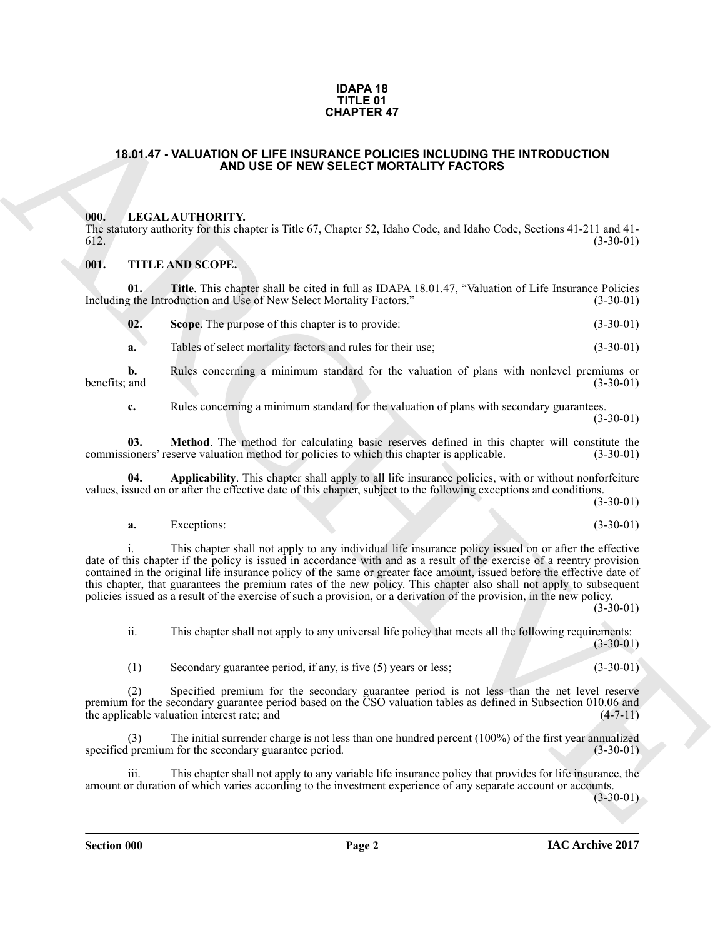#### **IDAPA 18 TITLE 01 CHAPTER 47**

#### <span id="page-1-0"></span>**18.01.47 - VALUATION OF LIFE INSURANCE POLICIES INCLUDING THE INTRODUCTION AND USE OF NEW SELECT MORTALITY FACTORS**

#### <span id="page-1-1"></span>**000. LEGAL AUTHORITY.**

The statutory authority for this chapter is Title 67, Chapter 52, Idaho Code, and Idaho Code, Sections 41-211 and 41-  $612.$  (3-30-01)

#### <span id="page-1-2"></span>**001. TITLE AND SCOPE.**

**01.** Title. This chapter shall be cited in full as IDAPA 18.01.47, "Valuation of Life Insurance Policies g the Introduction and Use of New Select Mortality Factors." (3-30-01) Including the Introduction and Use of New Select Mortality Factors."

| 02. | Scope. The purpose of this chapter is to provide: | $(3-30-01)$ |
|-----|---------------------------------------------------|-------------|
|-----|---------------------------------------------------|-------------|

**a.** Tables of select mortality factors and rules for their use; (3-30-01)

**b.** Rules concerning a minimum standard for the valuation of plans with nonlevel premiums or benefits; and (3-30-01) benefits; and (3-30-01)

**c.** Rules concerning a minimum standard for the valuation of plans with secondary guarantees. (3-30-01)

**03.** Method. The method for calculating basic reserves defined in this chapter will constitute the ioners' reserve valuation method for policies to which this chapter is applicable. (3-30-01) commissioners' reserve valuation method for policies to which this chapter is applicable.

**04. Applicability**. This chapter shall apply to all life insurance policies, with or without nonforfeiture values, issued on or after the effective date of this chapter, subject to the following exceptions and conditions.

(3-30-01)

**a.** Exceptions: (3-30-01)

**CHAPTER 47**<br> **CHAPTER 47**<br> **CHAPTER 47**<br> **CHAPTER CHAPTER INCLUDING THE INTRODUCTION**<br> **CHAPTER CHAPTER INCREDIBATIVE CONTINUES INCLUDING THE INTRODUCTION<br>
THE LIKE ARCHIVE CHAPTER IS CONSULTED INCLUSION AND USE OF LIKE** i. This chapter shall not apply to any individual life insurance policy issued on or after the effective date of this chapter if the policy is issued in accordance with and as a result of the exercise of a reentry provision contained in the original life insurance policy of the same or greater face amount, issued before the effective date of this chapter, that guarantees the premium rates of the new policy. This chapter also shall not apply to subsequent policies issued as a result of the exercise of such a provision, or a derivation of the provision, in the new policy.

 $(3-30-01)$ 

ii. This chapter shall not apply to any universal life policy that meets all the following requirements: (3-30-01)

(1) Secondary guarantee period, if any, is five (5) years or less; (3-30-01)

(2) Specified premium for the secondary guarantee period is not less than the net level reserve premium for the secondary guarantee period based on the CSO valuation tables as defined in Subsection 010.06 and the applicable valuation interest rate; and (4-7-11)

(3) The initial surrender charge is not less than one hundred percent  $(100\%)$  of the first year annualized permium for the secondary guarantee period.  $(3-30-01)$ specified premium for the secondary guarantee period.

iii. This chapter shall not apply to any variable life insurance policy that provides for life insurance, the amount or duration of which varies according to the investment experience of any separate account or accounts.

(3-30-01)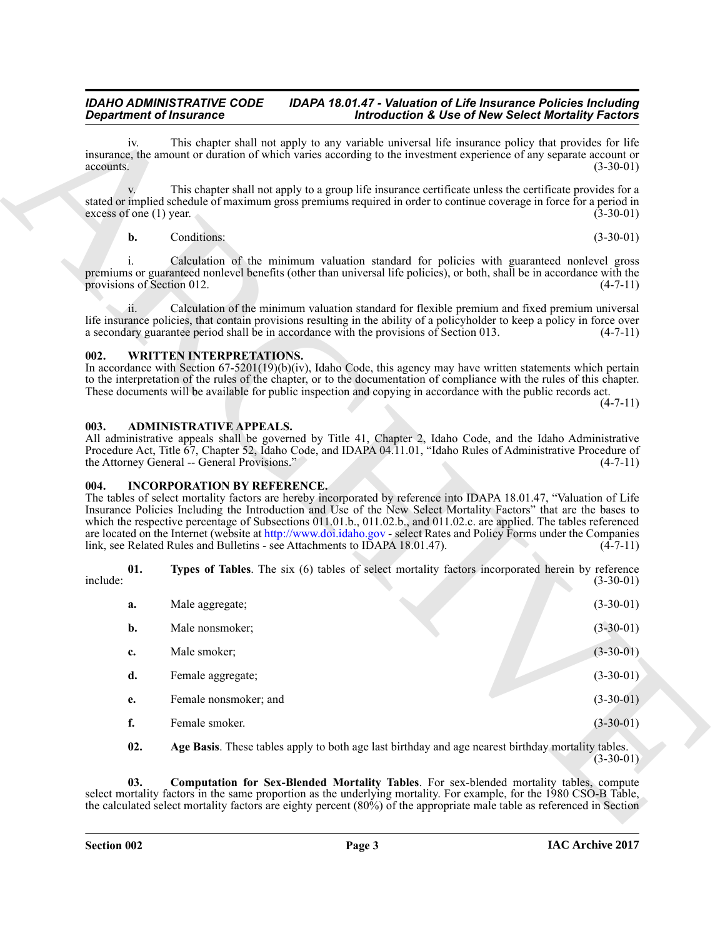#### *IDAHO ADMINISTRATIVE CODE IDAPA 18.01.47 - Valuation of Life Insurance Policies Including*<br>Introduction & Use of New Select Mortality Factors **Introduction & Use of New Select Mortality Factors**

#### **b.** Conditions: (3-30-01)

#### <span id="page-2-0"></span>**002. WRITTEN INTERPRETATIONS.**

#### <span id="page-2-1"></span>**003. ADMINISTRATIVE APPEALS.**

#### <span id="page-2-2"></span>**004. INCORPORATION BY REFERENCE.**

| <b>Department of Insurance</b>             |                                                                                                                   | <b>Introduction &amp; Use of New Select Mortality Factors</b>                                                                                                                                                                                                                                                                                                                                                                                                                            |             |
|--------------------------------------------|-------------------------------------------------------------------------------------------------------------------|------------------------------------------------------------------------------------------------------------------------------------------------------------------------------------------------------------------------------------------------------------------------------------------------------------------------------------------------------------------------------------------------------------------------------------------------------------------------------------------|-------------|
| iv.<br>accounts.                           |                                                                                                                   | This chapter shall not apply to any variable universal life insurance policy that provides for life<br>insurance, the amount or duration of which varies according to the investment experience of any separate account or                                                                                                                                                                                                                                                               | $(3-30-01)$ |
| excess of one $(1)$ year.                  |                                                                                                                   | This chapter shall not apply to a group life insurance certificate unless the certificate provides for a<br>stated or implied schedule of maximum gross premiums required in order to continue coverage in force for a period in                                                                                                                                                                                                                                                         | $(3-30-01)$ |
| $\mathbf{b}$ .                             | Conditions:                                                                                                       |                                                                                                                                                                                                                                                                                                                                                                                                                                                                                          | $(3-30-01)$ |
| <sup>i</sup><br>provisions of Section 012. |                                                                                                                   | Calculation of the minimum valuation standard for policies with guaranteed nonlevel gross<br>premiums or guaranteed nonlevel benefits (other than universal life policies), or both, shall be in accordance with the                                                                                                                                                                                                                                                                     | $(4-7-11)$  |
| ii.                                        | a secondary guarantee period shall be in accordance with the provisions of Section 013.                           | Calculation of the minimum valuation standard for flexible premium and fixed premium universal<br>life insurance policies, that contain provisions resulting in the ability of a policyholder to keep a policy in force over                                                                                                                                                                                                                                                             | $(4-7-11)$  |
| 002.                                       | <b>WRITTEN INTERPRETATIONS.</b>                                                                                   | In accordance with Section $67-5201(19)(b)(iv)$ , Idaho Code, this agency may have written statements which pertain<br>to the interpretation of the rules of the chapter, or to the documentation of compliance with the rules of this chapter.<br>These documents will be available for public inspection and copying in accordance with the public records act.                                                                                                                        | $(4-7-11)$  |
| 003.                                       | <b>ADMINISTRATIVE APPEALS.</b><br>the Attorney General -- General Provisions."                                    | All administrative appeals shall be governed by Title 41, Chapter 2, Idaho Code, and the Idaho Administrative<br>Procedure Act, Title 67, Chapter 52, Idaho Code, and IDAPA 04.11.01, "Idaho Rules of Administrative Procedure of                                                                                                                                                                                                                                                        | $(4-7-11)$  |
| 004.                                       | <b>INCORPORATION BY REFERENCE.</b><br>link, see Related Rules and Bulletins - see Attachments to IDAPA 18.01.47). | The tables of select mortality factors are hereby incorporated by reference into IDAPA 18.01.47, "Valuation of Life<br>Insurance Policies Including the Introduction and Use of the New Select Mortality Factors" that are the bases to<br>which the respective percentage of Subsections 011.01.b., 011.02.b., and 011.02.c. are applied. The tables referenced<br>are located on the Internet (website at http://www.doi.idaho.gov - select Rates and Policy Forms under the Companies | $(4-7-11)$  |
| 01.<br>include:                            |                                                                                                                   | Types of Tables. The six (6) tables of select mortality factors incorporated herein by reference                                                                                                                                                                                                                                                                                                                                                                                         | $(3-30-01)$ |
| a.                                         | Male aggregate;                                                                                                   |                                                                                                                                                                                                                                                                                                                                                                                                                                                                                          | $(3-30-01)$ |
| b.                                         | Male nonsmoker;                                                                                                   |                                                                                                                                                                                                                                                                                                                                                                                                                                                                                          | $(3-30-01)$ |
| c.                                         | Male smoker;                                                                                                      |                                                                                                                                                                                                                                                                                                                                                                                                                                                                                          | $(3-30-01)$ |
| d.                                         | Female aggregate;                                                                                                 |                                                                                                                                                                                                                                                                                                                                                                                                                                                                                          | $(3-30-01)$ |
| e.                                         | Female nonsmoker; and                                                                                             |                                                                                                                                                                                                                                                                                                                                                                                                                                                                                          | $(3-30-01)$ |
| f.                                         | Female smoker.                                                                                                    |                                                                                                                                                                                                                                                                                                                                                                                                                                                                                          | $(3-30-01)$ |
| 02.                                        |                                                                                                                   | Age Basis. These tables apply to both age last birthday and age nearest birthday mortality tables.                                                                                                                                                                                                                                                                                                                                                                                       | $(3-30-01)$ |
| 03.                                        |                                                                                                                   | Computation for Sex-Blended Mortality Tables. For sex-blended mortality tables, compute<br>select mortality factors in the same proportion as the underlying mortality. For example, for the 1980 CSO-B Table,<br>the calculated select mortality factors are eighty percent $(80\%)$ of the appropriate male table as referenced in Section                                                                                                                                             |             |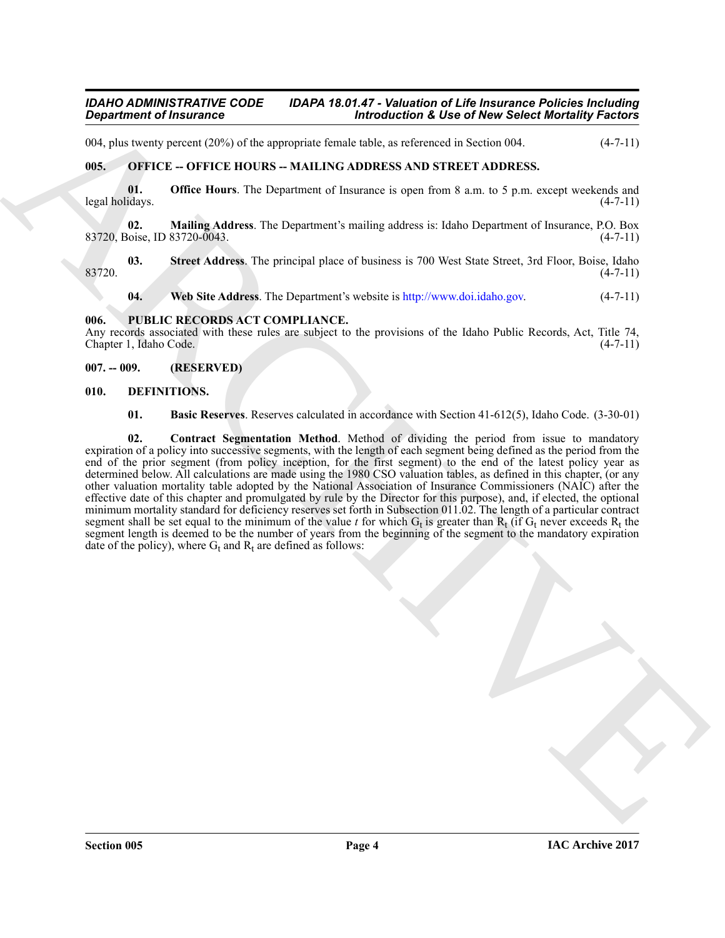#### *IDAHO ADMINISTRATIVE CODE IDAPA 18.01.47 - Valuation of Life Insurance Policies Including*<br>Introduction & Use of New Select Mortality Factors **Introduction & Use of New Select Mortality Factors**

004, plus twenty percent (20%) of the appropriate female table, as referenced in Section 004.  $(4-7-11)$ 

#### <span id="page-3-0"></span>**005. OFFICE -- OFFICE HOURS -- MAILING ADDRESS AND STREET ADDRESS.**

**01. Office Hours**. The Department of Insurance is open from 8 a.m. to 5 p.m. except weekends and legal holidays. (4-7-11)

**02. Mailing Address**. The Department's mailing address is: Idaho Department of Insurance, P.O. Box 83720, Boise, ID 83720-0043. (4-7-11)

**03.** Street Address. The principal place of business is 700 West State Street, 3rd Floor, Boise, Idaho (4-7-11)  $83720.$  (4-7-11)

**04. Web Site Address**. The Department's website is http://www.doi.idaho.gov. (4-7-11)

#### <span id="page-3-1"></span>**006. PUBLIC RECORDS ACT COMPLIANCE.**

Any records associated with these rules are subject to the provisions of the Idaho Public Records, Act, Title 74, Chapter 1, Idaho Code. (4-7-11) Chapter 1, Idaho Code.

#### <span id="page-3-2"></span>**007. -- 009. (RESERVED)**

#### <span id="page-3-3"></span>**010. DEFINITIONS.**

<span id="page-3-6"></span><span id="page-3-5"></span><span id="page-3-4"></span>**01. Basic Reserves**. Reserves calculated in accordance with Section 41-612(5), Idaho Code. (3-30-01)

**Expansion of Instances**<br> **Expansion of Finances**<br> **Expansion of Finances and the subset of the subset of the subset of the subset of the subset of the subset of the subset of the subset of the subset of the subset of the 02. Contract Segmentation Method**. Method of dividing the period from issue to mandatory expiration of a policy into successive segments, with the length of each segment being defined as the period from the end of the prior segment (from policy inception, for the first segment) to the end of the latest policy year as determined below. All calculations are made using the 1980 CSO valuation tables, as defined in this chapter, (or any other valuation mortality table adopted by the National Association of Insurance Commissioners (NAIC) after the effective date of this chapter and promulgated by rule by the Director for this purpose), and, if elected, the optional minimum mortality standard for deficiency reserves set forth in Subsection 011.02. The length of a particular contract segment shall be set equal to the minimum of the value *t* for which  $G_t$  is greater than  $R_t$  (if  $G_t$  never exceeds  $R_t$  the segment length is deemed to be the number of years from the beginning of the segment to the mandatory expiration date of the policy), where  $G_t$  and  $R_t$  are defined as follows: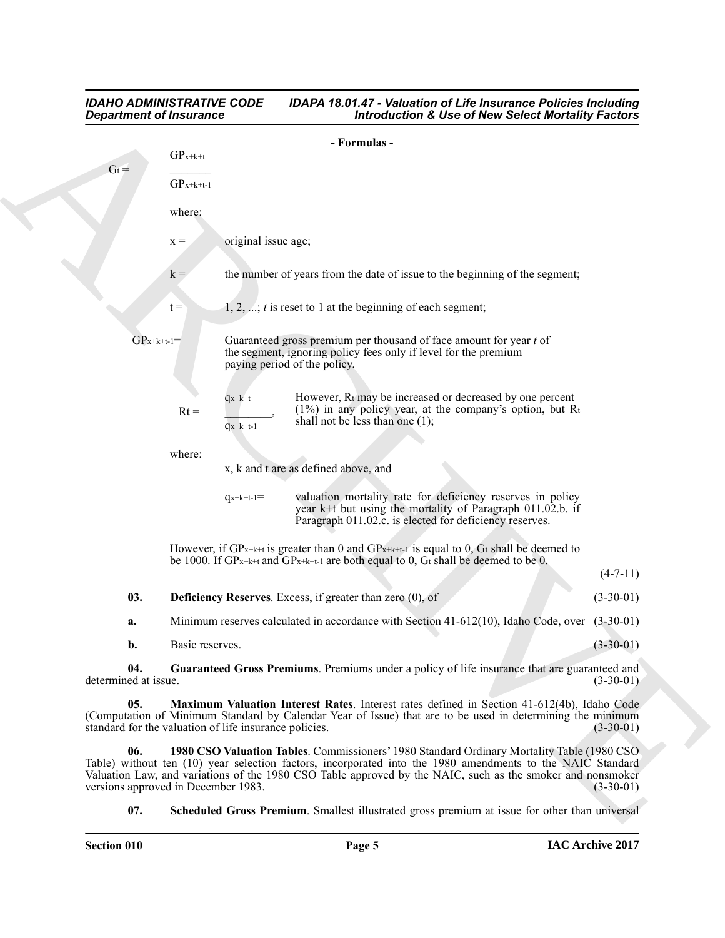# Given of fractions of the set of the set of the set of the set of the set of the set of the set of the set of the set of the set of the set of the set of the set of the set of the set of the set of the set of the set of t *IDAHO ADMINISTRATIVE CODE IDAPA 18.01.47 - Valuation of Life Insurance Policies Including*<br>Introduction & Use of New Select Mortality Factors **Introduction & Use of New Select Mortality Factors - Formulas -**  $GP_{x+k+t}$  $\rm{G}$ <sub>t</sub> =  $GP_{x+k+t-1}$ where:  $x = \text{original issue age};$  $k =$  the number of years from the date of issue to the beginning of the segment;  $t = 1, 2, \ldots; t$  is reset to 1 at the beginning of each segment;  $GP_{x+k+t-1}$  Guaranteed gross premium per thousand of face amount for year *t* of the segment, ignoring policy fees only if level for the premium paying period of the policy.  $q_{x+k+t}$  However,  $R_t$  may be increased or decreased by one percent  $(1%)$  in any policy year, at the company's option, but Rt Rt =  $\frac{(1\%)}{\text{G(\text{R})}}$ ,  $\frac{(1\%)}{\text{shall}}$  not be less than one (1);  $q_{x+k+t-1}$

where:

x, k and t are as defined above, and

| $q_{x+k+t-1} =$ | valuation mortality rate for deficiency reserves in policy |
|-----------------|------------------------------------------------------------|
|                 | year k+t but using the mortality of Paragraph 011.02.b. if |
|                 | Paragraph 011.02.c. is elected for deficiency reserves.    |

<span id="page-4-1"></span>However, if  $GP_{x+k+t}$  is greater than 0 and  $GP_{x+k+t-1}$  is equal to 0, Gt shall be deemed to be 1000. If  $GP_{x+k+t}$  and  $GP_{x+k+t-1}$  are both equal to 0,  $G_t$  shall be deemed to be 0.

|     |                                                                     | - - -       |
|-----|---------------------------------------------------------------------|-------------|
| 03. | <b>Deficiency Reserves.</b> Excess, if greater than zero $(0)$ , of | $(3-30-01)$ |
|     |                                                                     |             |

**a.** Minimum reserves calculated in accordance with Section 41-612(10), Idaho Code, over (3-30-01)

<span id="page-4-3"></span><span id="page-4-2"></span>**b.** Basic reserves. (3-30-01)

**04.** Guaranteed Gross Premiums. Premiums under a policy of life insurance that are guaranteed and ed at issue. (3-30-01) determined at issue.

**05. Maximum Valuation Interest Rates**. Interest rates defined in Section 41-612(4b), Idaho Code (Computation of Minimum Standard by Calendar Year of Issue) that are to be used in determining the minimum standard for the valuation of life insurance policies. (3-30-01) standard for the valuation of life insurance policies.

**06. 1980 CSO Valuation Tables**. Commissioners' 1980 Standard Ordinary Mortality Table (1980 CSO Table) without ten (10) year selection factors, incorporated into the 1980 amendments to the NAIC Standard Valuation Law, and variations of the 1980 CSO Table approved by the NAIC, such as the smoker and nonsmoker versions approved in December 1983. (3-30-01) versions approved in December 1983.

<span id="page-4-4"></span><span id="page-4-0"></span>**07. Scheduled Gross Premium**. Smallest illustrated gross premium at issue for other than universal

 $(4 - 7 - 11)$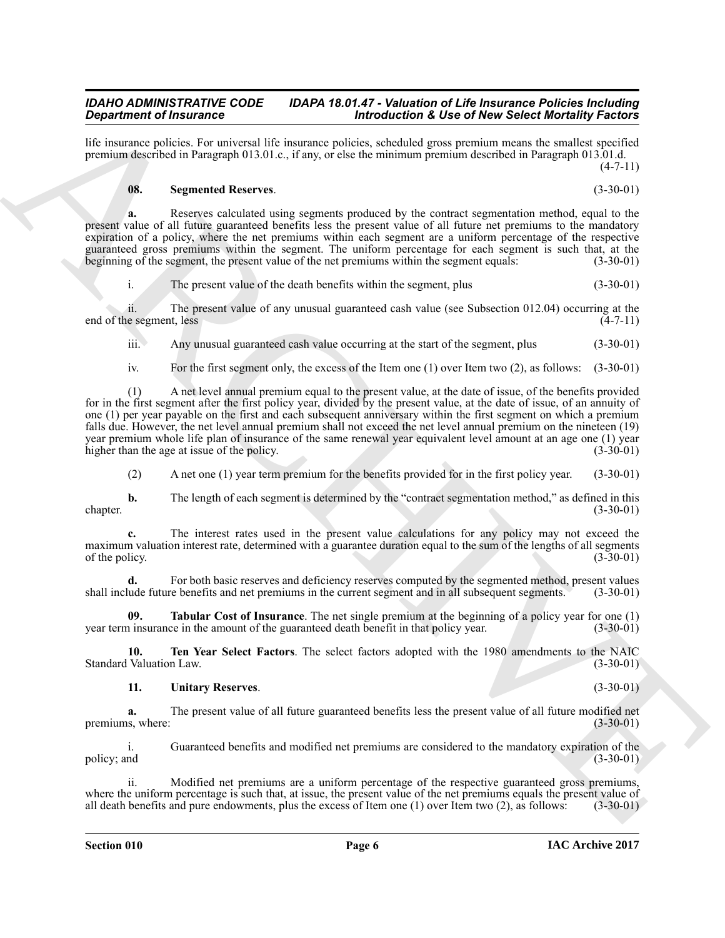life insurance policies. For universal life insurance policies, scheduled gross premium means the smallest specified premium described in Paragraph 013.01.c., if any, or else the minimum premium described in Paragraph 013.01.d.  $(4 - 7 - 11)$ 

#### <span id="page-5-0"></span>**08. Segmented Reserves**. (3-30-01)

**a.** Reserves calculated using segments produced by the contract segmentation method, equal to the present value of all future guaranteed benefits less the present value of all future net premiums to the mandatory expiration of a policy, where the net premiums within each segment are a uniform percentage of the respective guaranteed gross premiums within the segment. The uniform percentage for each segment is such that, at the beginning of the segment, the present value of the net premiums within the segment equals: (3-30-01) beginning of the segment, the present value of the net premiums within the segment equals:

i. The present value of the death benefits within the segment, plus (3-30-01)

ii. The present value of any unusual guaranteed cash value (see Subsection 012.04) occurring at the end of the segment, less (4-7-11)

iii. Any unusual guaranteed cash value occurring at the start of the segment, plus (3-30-01)

iv. For the first segment only, the excess of the Item one (1) over Item two (2), as follows: (3-30-01)

**Stationized Francesco Columns (in the case of the same of the same points (in the same of the same of the same of the same of the same of the same of the same of the same of the same of the same of the same of the same o** (1) A net level annual premium equal to the present value, at the date of issue, of the benefits provided for in the first segment after the first policy year, divided by the present value, at the date of issue, of an annuity of one (1) per year payable on the first and each subsequent anniversary within the first segment on which a premium falls due. However, the net level annual premium shall not exceed the net level annual premium on the nineteen (19) year premium whole life plan of insurance of the same renewal year equivalent level amount at an age one (1) year higher than the age at issue of the policy. (3-30-01) higher than the age at issue of the policy.

(2) A net one (1) year term premium for the benefits provided for in the first policy year. (3-30-01)

**b.** The length of each segment is determined by the "contract segmentation method," as defined in this (3-30-01)  $\text{chaper.}$  (3-30-01)

**c.** The interest rates used in the present value calculations for any policy may not exceed the maximum valuation interest rate, determined with a guarantee duration equal to the sum of the lengths of all segments of the policy. (3-30-01) of the policy.  $(3-30-01)$ 

**d.** For both basic reserves and deficiency reserves computed by the segmented method, present values ude future benefits and net premiums in the current segment and in all subsequent segments. (3-30-01) shall include future benefits and net premiums in the current segment and in all subsequent segments.

<span id="page-5-1"></span>**Tabular Cost of Insurance**. The net single premium at the beginning of a policy year for one (1)  $ce$  in the amount of the guaranteed death benefit in that policy year. (3-30-01) year term insurance in the amount of the guaranteed death benefit in that policy year.

**10. Ten Year Select Factors**. The select factors adopted with the 1980 amendments to the NAIC Valuation Law. (3-30-01) Standard Valuation Law.

#### <span id="page-5-3"></span><span id="page-5-2"></span>**11. Unitary Reserves**. (3-30-01)

**a.** The present value of all future guaranteed benefits less the present value of all future modified net is, where: (3-30-01) premiums, where:

i. Guaranteed benefits and modified net premiums are considered to the mandatory expiration of the policy; and (3-30-01)  $(3-30-01)$ 

ii. Modified net premiums are a uniform percentage of the respective guaranteed gross premiums, where the uniform percentage is such that, at issue, the present value of the net premiums equals the present value of all death benefits and pure endowments, plus the excess of Item one  $(1)$  over Item two  $(2)$ , as foll all death benefits and pure endowments, plus the excess of Item one  $(1)$  over Item two  $(2)$ , as follows: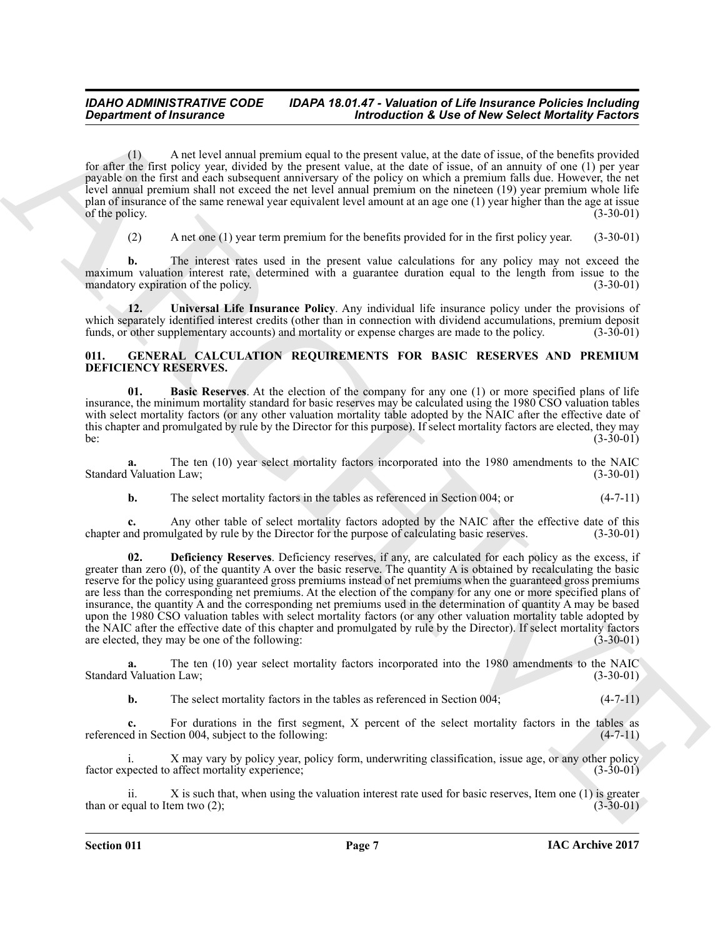(1) A net level annual premium equal to the present value, at the date of issue, of the benefits provided for after the first policy year, divided by the present value, at the date of issue, of an annuity of one (1) per year payable on the first and each subsequent anniversary of the policy on which a premium falls due. However, the net level annual premium shall not exceed the net level annual premium on the nineteen (19) year premium whole life plan of insurance of the same renewal year equivalent level amount at an age one (1) year higher than the age at issue of the nolicy. (3-30-01) of the policy.

<span id="page-6-1"></span>(2) A net one (1) year term premium for the benefits provided for in the first policy year. (3-30-01)

**b.** The interest rates used in the present value calculations for any policy may not exceed the maximum valuation interest rate, determined with a guarantee duration equal to the length from issue to the mandatory expiration of the policy. (3-30-01) mandatory expiration of the policy.

**12. Universal Life Insurance Policy**. Any individual life insurance policy under the provisions of which separately identified interest credits (other than in connection with dividend accumulations, premium deposit funds, or other supplementary accounts) and mortality or expense charges are made to the policy. (3-30-01) funds, or other supplementary accounts) and mortality or expense charges are made to the policy.

#### <span id="page-6-2"></span><span id="page-6-0"></span>**011. GENERAL CALCULATION REQUIREMENTS FOR BASIC RESERVES AND PREMIUM DEFICIENCY RESERVES.**

<span id="page-6-3"></span>**01. Basic Reserves**. At the election of the company for any one (1) or more specified plans of life insurance, the minimum mortality standard for basic reserves may be calculated using the 1980 CSO valuation tables with select mortality factors (or any other valuation mortality table adopted by the NAIC after the effective date of this chapter and promulgated by rule by the Director for this purpose). If select mortality factors are elected, they may<br>(3-30-01) be:  $(3-30-01)$ 

The ten (10) year select mortality factors incorporated into the 1980 amendments to the NAIC n Law; (3-30-01) Standard Valuation Law;

<span id="page-6-4"></span>**b.** The select mortality factors in the tables as referenced in Section 004; or (4-7-11)

**c.** Any other table of select mortality factors adopted by the NAIC after the effective date of this chapter and promulgated by rule by the Director for the purpose of calculating basic reserves. (3-30-01)

*Great fraction of Transmission Case of Transmission Andrew Select Morrishly Factor<br>
for the last level with the space of the space of the space of the space of the space of the space of the space of the space of the spa* **02. Deficiency Reserves**. Deficiency reserves, if any, are calculated for each policy as the excess, if greater than zero (0), of the quantity A over the basic reserve. The quantity A is obtained by recalculating the basic reserve for the policy using guaranteed gross premiums instead of net premiums when the guaranteed gross premiums are less than the corresponding net premiums. At the election of the company for any one or more specified plans of insurance, the quantity A and the corresponding net premiums used in the determination of quantity A may be based upon the 1980 CSO valuation tables with select mortality factors (or any other valuation mortality table adopted by the NAIC after the effective date of this chapter and promulgated by rule by the Director). If select mortality factors are elected, they may be one of the following: (3-30-01)

**a.** The ten (10) year select mortality factors incorporated into the 1980 amendments to the NAIC Valuation Law; (3-30-01) Standard Valuation Law:

**b.** The select mortality factors in the tables as referenced in Section 004; (4-7-11)

**c.** For durations in the first segment, X percent of the select mortality factors in the tables as ed in Section 004, subject to the following:  $(4-7-11)$ referenced in Section 004, subject to the following:

i. X may vary by policy year, policy form, underwriting classification, issue age, or any other policy factor expected to affect mortality experience;

X is such that, when using the valuation interest rate used for basic reserves, Item one (1) is greater em two  $(2)$ ;  $(3-30-01)$ than or equal to Item two  $(2)$ ;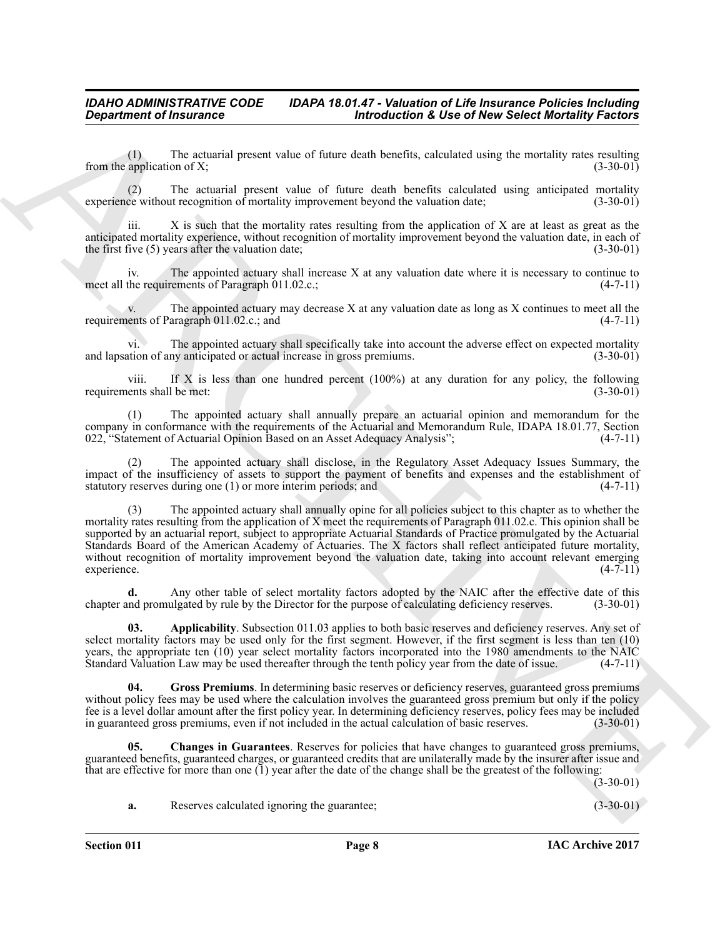(1) The actuarial present value of future death benefits, calculated using the mortality rates resulting application of X;  $(3-30-01)$ from the application of  $X$ ;

(2) The actuarial present value of future death benefits calculated using anticipated mortality ce without recognition of mortality improvement beyond the valuation date; (3-30-01) experience without recognition of mortality improvement beyond the valuation date;

iii. X is such that the mortality rates resulting from the application of X are at least as great as the anticipated mortality experience, without recognition of mortality improvement beyond the valuation date, in each of the first five  $(5)$  years after the valuation date; (3-30-01)

iv. The appointed actuary shall increase X at any valuation date where it is necessary to continue to the requirements of Paragraph  $011.02.c.$ ; (4-7-11) meet all the requirements of Paragraph 011.02.c.;

v. The appointed actuary may decrease X at any valuation date as long as X continues to meet all the ents of Paragraph  $011.02.c.$ ; and  $(4-7-11)$ requirements of Paragraph  $011.02.c.;$  and

vi. The appointed actuary shall specifically take into account the adverse effect on expected mortality and lapsation of any anticipated or actual increase in gross premiums. (3-30-01)

viii. If X is less than one hundred percent (100%) at any duration for any policy, the following ents shall be met:  $(3-30-01)$ requirements shall be met:

(1) The appointed actuary shall annually prepare an actuarial opinion and memorandum for the company in conformance with the requirements of the Actuarial and Memorandum Rule, IDAPA 18.01.77, Section 022. "Statement of Actuarial Opinion Based on an Asset Adequacy Analysis": (4-7-11) 022, "Statement of Actuarial Opinion Based on an Asset Adequacy Analysis";

The appointed actuary shall disclose, in the Regulatory Asset Adequacy Issues Summary, the impact of the insufficiency of assets to support the payment of benefits and expenses and the establishment of statutory reserves during one (1) or more interim periods; and  $(4-7-11)$ statutory reserves during one  $(1)$  or more interim periods; and

**Department of fractures**<br> **Archives** the set of the set of the set of the set of the set of the set of the set of the set of the set of the set of the set of the set of the set of the set of the set of the set of the set (3) The appointed actuary shall annually opine for all policies subject to this chapter as to whether the mortality rates resulting from the application of X meet the requirements of Paragraph 011.02.c. This opinion shall be supported by an actuarial report, subject to appropriate Actuarial Standards of Practice promulgated by the Actuarial Standards Board of the American Academy of Actuaries. The X factors shall reflect anticipated future mortality, without recognition of mortality improvement beyond the valuation date, taking into account relevant emerging experience. (4-7-11) experience. (4-7-11)

Any other table of select mortality factors adopted by the NAIC after the effective date of this ulgated by rule by the Director for the purpose of calculating deficiency reserves. (3-30-01) chapter and promulgated by rule by the Director for the purpose of calculating deficiency reserves.

<span id="page-7-0"></span>**03. Applicability**. Subsection 011.03 applies to both basic reserves and deficiency reserves. Any set of select mortality factors may be used only for the first segment. However, if the first segment is less than ten (10) years, the appropriate ten (10) year select mortality factors incorporated into the 1980 amendments to the NAIC Standard Valuation Law may be used thereafter through the tenth policy year from the date of issue. (4-7-11)

<span id="page-7-2"></span>**04. Gross Premiums**. In determining basic reserves or deficiency reserves, guaranteed gross premiums without policy fees may be used where the calculation involves the guaranteed gross premium but only if the policy fee is a level dollar amount after the first policy year. In determining deficiency reserves, policy fees may be included<br>in guaranteed gross premiums, even if not included in the actual calculation of basic reserves. (3-3 in guaranteed gross premiums, even if not included in the actual calculation of basic reserves.

**05. Changes in Guarantees**. Reserves for policies that have changes to guaranteed gross premiums, guaranteed benefits, guaranteed charges, or guaranteed credits that are unilaterally made by the insurer after issue and that are effective for more than one  $(1)$  year after the date of the change shall be the greatest of the following:

 $(3-30-01)$ 

<span id="page-7-1"></span>**a.** Reserves calculated ignoring the guarantee; (3-30-01)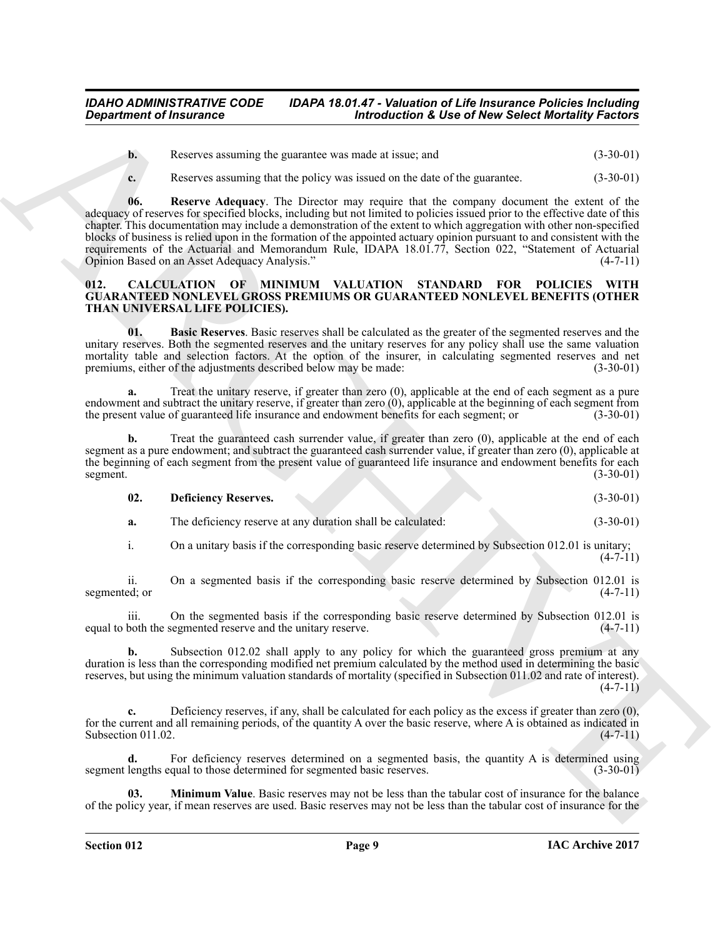**b.** Reserves assuming the guarantee was made at issue; and  $(3-30-01)$ 

<span id="page-8-5"></span>**c.** Reserves assuming that the policy was issued on the date of the guarantee.  $(3-30-01)$ 

*Department of Insurance*<br> **Accords an adiative standing the gammeler was mainly on the standing result of the controlling term in the standing of the standing of the standing of the standing of the standing of the stan 06. Reserve Adequacy**. The Director may require that the company document the extent of the adequacy of reserves for specified blocks, including but not limited to policies issued prior to the effective date of this chapter. This documentation may include a demonstration of the extent to which aggregation with other non-specified blocks of business is relied upon in the formation of the appointed actuary opinion pursuant to and consistent with the requirements of the Actuarial and Memorandum Rule, IDAPA 18.01.77, Section 022, "Statement of Actuarial Opinion Based on an Asset Adequacy Analysis." (4-7-11)

#### <span id="page-8-1"></span><span id="page-8-0"></span>**012. CALCULATION OF MINIMUM VALUATION STANDARD FOR POLICIES WITH GUARANTEED NONLEVEL GROSS PREMIUMS OR GUARANTEED NONLEVEL BENEFITS (OTHER THAN UNIVERSAL LIFE POLICIES).**

<span id="page-8-2"></span>**01. Basic Reserves**. Basic reserves shall be calculated as the greater of the segmented reserves and the unitary reserves. Both the segmented reserves and the unitary reserves for any policy shall use the same valuation mortality table and selection factors. At the option of the insurer, in calculating segmented reserves and net<br>premiums, either of the adjustments described below may be made: (3-30-01) premiums, either of the adjustments described below may be made:

**a.** Treat the unitary reserve, if greater than zero (0), applicable at the end of each segment as a pure endowment and subtract the unitary reserve, if greater than zero (0), applicable at the beginning of each segment from<br>the present value of guaranteed life insurance and endowment benefits for each segment; or (3-30-01) the present value of guaranteed life insurance and endowment benefits for each segment; or

**b.** Treat the guaranteed cash surrender value, if greater than zero (0), applicable at the end of each segment as a pure endowment; and subtract the guaranteed cash surrender value, if greater than zero (0), applicable at the beginning of each segment from the present value of guaranteed life insurance and endowment benefits for each segment. (3-30-01) segment.  $(3-30-01)$ 

<span id="page-8-3"></span>

| 02. | <b>Deficiency Reserves.</b> |  |  |  |  | $(3-30-01)$ |
|-----|-----------------------------|--|--|--|--|-------------|
|-----|-----------------------------|--|--|--|--|-------------|

**a.** The deficiency reserve at any duration shall be calculated:  $(3-30-01)$ 

i. On a unitary basis if the corresponding basic reserve determined by Subsection 012.01 is unitary;  $(4 - 7 - 11)$ 

ii. On a segmented basis if the corresponding basic reserve determined by Subsection 012.01 is ed; or (4-7-11) segmented; or

iii. On the segmented basis if the corresponding basic reserve determined by Subsection 012.01 is both the segmented reserve and the unitary reserve. (4-7-11) equal to both the segmented reserve and the unitary reserve.

**b.** Subsection 012.02 shall apply to any policy for which the guaranteed gross premium at any duration is less than the corresponding modified net premium calculated by the method used in determining the basic reserves, but using the minimum valuation standards of mortality (specified in Subsection 011.02 and rate of interest).  $(4 - 7 - 11)$ 

**c.** Deficiency reserves, if any, shall be calculated for each policy as the excess if greater than zero (0), for the current and all remaining periods, of the quantity A over the basic reserve, where A is obtained as indicated in Subsection 011.02. (4-7-11) Subsection 011.02.

**d.** For deficiency reserves determined on a segmented basis, the quantity A is determined using lengths equal to those determined for segmented basic reserves. (3-30-01) segment lengths equal to those determined for segmented basic reserves.

<span id="page-8-4"></span>**03. Minimum Value**. Basic reserves may not be less than the tabular cost of insurance for the balance of the policy year, if mean reserves are used. Basic reserves may not be less than the tabular cost of insurance for the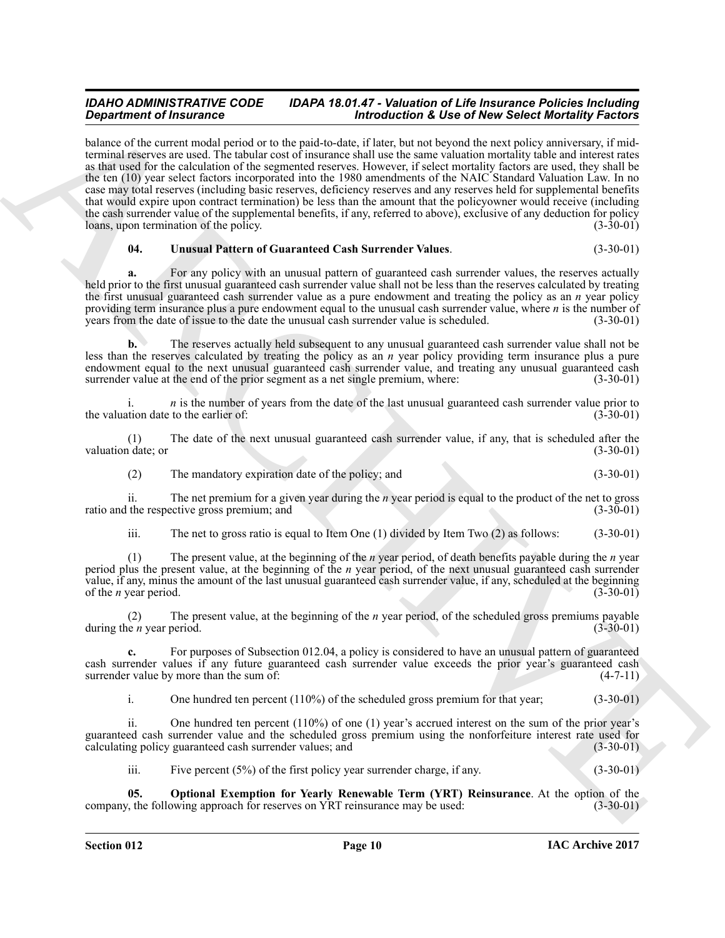**Strainer of Francesco Constrainers** (*biological* **20** *biological <b>3 biological Constrainers* (*biological constrainers* (*biological constrainers (<i>biological constrainers*) (*b*) **constrainers** (*biological* balance of the current modal period or to the paid-to-date, if later, but not beyond the next policy anniversary, if midterminal reserves are used. The tabular cost of insurance shall use the same valuation mortality table and interest rates as that used for the calculation of the segmented reserves. However, if select mortality factors are used, they shall be the ten (10) year select factors incorporated into the 1980 amendments of the NAIC Standard Valuation Law. In no case may total reserves (including basic reserves, deficiency reserves and any reserves held for supplemental benefits that would expire upon contract termination) be less than the amount that the policyowner would receive (including the cash surrender value of the supplemental benefits, if any, referred to above), exclusive of any deduction for policy<br>loans, upon termination of the policy. loans, upon termination of the policy.

#### <span id="page-9-1"></span>**04. Unusual Pattern of Guaranteed Cash Surrender Values**. (3-30-01)

**a.** For any policy with an unusual pattern of guaranteed cash surrender values, the reserves actually held prior to the first unusual guaranteed cash surrender value shall not be less than the reserves calculated by treating the first unusual guaranteed cash surrender value as a pure endowment and treating the policy as an *n* year policy providing term insurance plus a pure endowment equal to the unusual cash surrender value, where *n* is the number of years from the date of issue to the date the unusual cash surrender value is scheduled. (3-30-01) years from the date of issue to the date the unusual cash surrender value is scheduled.

**b.** The reserves actually held subsequent to any unusual guaranteed cash surrender value shall not be less than the reserves calculated by treating the policy as an *n* year policy providing term insurance plus a pure endowment equal to the next unusual guaranteed cash surrender value, and treating any unusual guaranteed cash surrender value at the end of the prior segment as a net single premium, where: (3-30-01)

*n* is the number of years from the date of the last unusual guaranteed cash surrender value prior to to the earlier of: (3-30-01) the valuation date to the earlier of:

(1) The date of the next unusual guaranteed cash surrender value, if any, that is scheduled after the valuation date; or

(2) The mandatory expiration date of the policy; and (3-30-01)

ii. The net premium for a given year during the *n* year period is equal to the product of the net to gross ratio and the respective gross premium; and

iii. The net to gross ratio is equal to Item One (1) divided by Item Two (2) as follows: (3-30-01)

(1) The present value, at the beginning of the *n* year period, of death benefits payable during the *n* year period plus the present value, at the beginning of the *n* year period, of the next unusual guaranteed cash surrender value, if any, minus the amount of the last unusual guaranteed cash surrender value, if any, scheduled at the beginning of the *n* year period. (3-30-01)

(2) The present value, at the beginning of the *n* year period, of the scheduled gross premiums payable during the *n* year period.

**c.** For purposes of Subsection 012.04, a policy is considered to have an unusual pattern of guaranteed cash surrender values if any future guaranteed cash surrender value exceeds the prior year's guaranteed cash surrender value by more than the sum of: surrender value by more than the sum of:

i. One hundred ten percent (110%) of the scheduled gross premium for that year; (3-30-01)

ii. One hundred ten percent (110%) of one (1) year's accrued interest on the sum of the prior year's guaranteed cash surrender value and the scheduled gross premium using the nonforfeiture interest rate used for calculating policy guaranteed cash surrender values; and (3-30-01)

<span id="page-9-0"></span>iii. Five percent (5%) of the first policy year surrender charge, if any. (3-30-01)

**05. Optional Exemption for Yearly Renewable Term (YRT) Reinsurance**. At the option of the  $\tau$ , the following approach for reserves on YRT reinsurance may be used: (3-30-01) company, the following approach for reserves on YRT reinsurance may be used: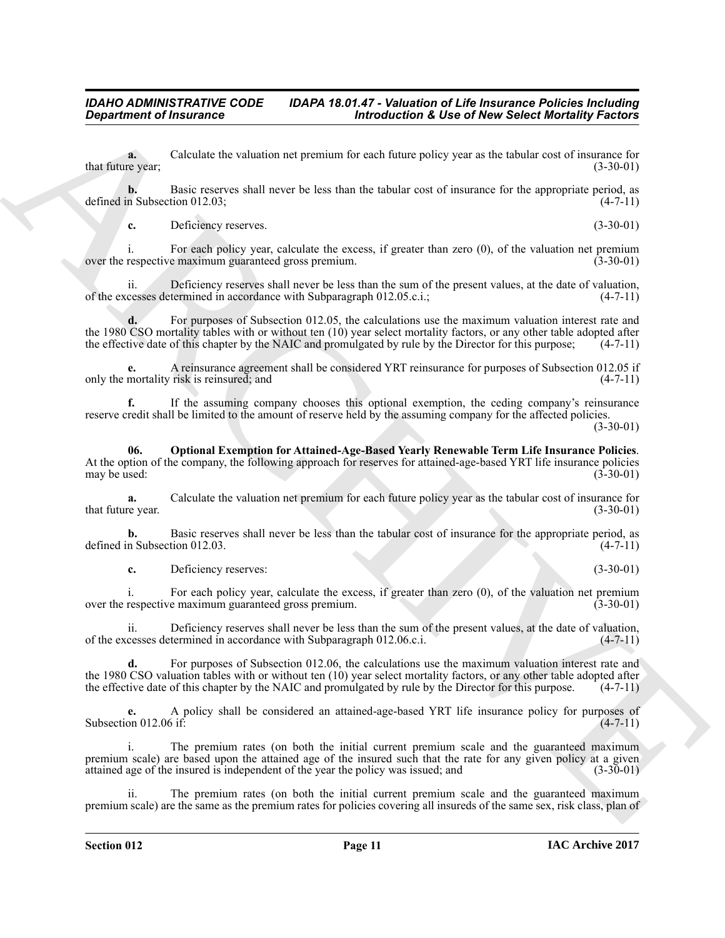**a.** Calculate the valuation net premium for each future policy year as the tabular cost of insurance for revear:  $(3-30-01)$ that future year;

**b.** Basic reserves shall never be less than the tabular cost of insurance for the appropriate period, as defined in Subsection 012.03;  $(4-7-11)$ 

**c.** Deficiency reserves. (3-30-01)

i. For each policy year, calculate the excess, if greater than zero (0), of the valuation net premium respective maximum guaranteed gross premium. (3-30-01) over the respective maximum guaranteed gross premium.

ii. Deficiency reserves shall never be less than the sum of the present values, at the date of valuation, cesses determined in accordance with Subparagraph 012.05.c.i.: (4-7-11) of the excesses determined in accordance with Subparagraph 012.05.c.i.; (4-7-11)

For purposes of Subsection 012.05, the calculations use the maximum valuation interest rate and the 1980 CSO mortality tables with or without ten  $(10)$  year select mortality factors, or any other table adopted after the effective date of this chapter by the NAIC and promulgated by rule by the Director for this purp the effective date of this chapter by the NAIC and promulgated by rule by the Director for this purpose;

**e.** A reinsurance agreement shall be considered YRT reinsurance for purposes of Subsection 012.05 if only the mortality risk is reinsured; and

**f.** If the assuming company chooses this optional exemption, the ceding company's reinsurance reserve credit shall be limited to the amount of reserve held by the assuming company for the affected policies.  $(3-30-01)$ 

<span id="page-10-0"></span>**06. Optional Exemption for Attained-Age-Based Yearly Renewable Term Life Insurance Policies**. At the option of the company, the following approach for reserves for attained-age-based YRT life insurance policies may be used: (3-30-01) may be used:

**a.** Calculate the valuation net premium for each future policy year as the tabular cost of insurance for re year.  $(3-30-01)$ that future year.

**b.** Basic reserves shall never be less than the tabular cost of insurance for the appropriate period, as n Subsection 012.03. (4-7-11) defined in Subsection 012.03.

**c.** Deficiency reserves: (3-30-01)

i. For each policy year, calculate the excess, if greater than zero (0), of the valuation net premium respective maximum guaranteed gross premium. (3-30-01) over the respective maximum guaranteed gross premium.

ii. Deficiency reserves shall never be less than the sum of the present values, at the date of valuation, of the excesses determined in accordance with Subparagraph 012.06.c.i. (4-7-11)

**d.** For purposes of Subsection 012.06, the calculations use the maximum valuation interest rate and the 1980 CSO valuation tables with or without ten  $(10)$  year select mortality factors, or any other table adopted after the effective date of this chapter by the NAIC and promulgated by rule by the Director for this purp the effective date of this chapter by the NAIC and promulgated by rule by the Director for this purpose.

**e.** A policy shall be considered an attained-age-based YRT life insurance policy for purposes of on 012.06 if: Subsection 012.06 if:

**Exparament of Francouzse Constraints are promoted at the solution of the set of the system of the system of the system of the system of the system of the system of the system of the system of the system of the system of** i. The premium rates (on both the initial current premium scale and the guaranteed maximum premium scale) are based upon the attained age of the insured such that the rate for any given policy at a given attained age of the insured is independent of the year the policy was issued; and (3-30-01)

The premium rates (on both the initial current premium scale and the guaranteed maximum premium scale) are the same as the premium rates for policies covering all insureds of the same sex, risk class, plan of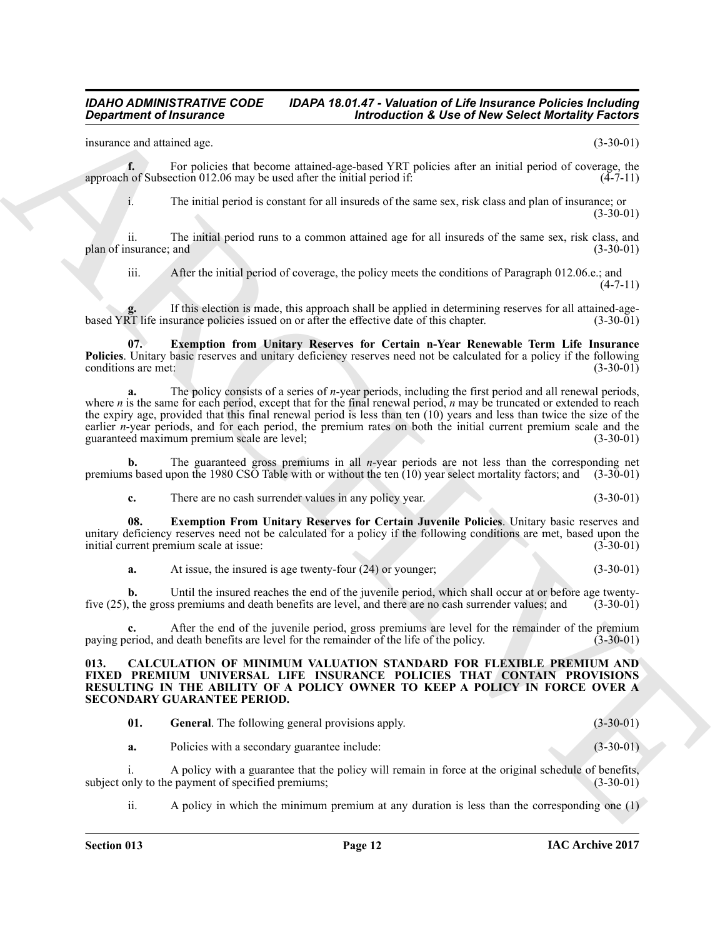insurance and attained age. (3-30-01)

**f.** For policies that become attained-age-based YRT policies after an initial period of coverage, the not Subsection 012.06 may be used after the initial period if:  $(4-7-11)$ approach of Subsection  $012.06$  may be used after the initial period if:

i. The initial period is constant for all insureds of the same sex, risk class and plan of insurance; or  $(3-30-01)$ 

ii. The initial period runs to a common attained age for all insureds of the same sex, risk class, and plan of insurance; and (3-30-01) (3-30-01)

<span id="page-11-4"></span>iii. After the initial period of coverage, the policy meets the conditions of Paragraph 012.06.e.; and  $(4 - 7 - 11)$ 

If this election is made, this approach shall be applied in determining reserves for all attained-age-<br>surance policies issued on or after the effective date of this chapter. (3-30-01) based YRT life insurance policies issued on or after the effective date of this chapter.

**07. Exemption from Unitary Reserves for Certain n-Year Renewable Term Life Insurance Policies**. Unitary basic reserves and unitary deficiency reserves need not be calculated for a policy if the following conditions are met: (3-30-01) conditions are met:

**Exparament of Insurance Constraints of Alexander Constraint Exparameter of Alexander Construction Construction Construction Construction Construction Construction Construction Construction Construction Construction Const a.** The policy consists of a series of *n*-year periods, including the first period and all renewal periods, where *n* is the same for each period, except that for the final renewal period, *n* may be truncated or extended to reach the expiry age, provided that this final renewal period is less than ten (10) years and less than twice the size of the earlier *n*-year periods, and for each period, the premium rates on both the initial current premium scale and the guaranteed maximum premium scale are level: (3-30-01) guaranteed maximum premium scale are level;

**b.** The guaranteed gross premiums in all *n*-year periods are not less than the corresponding net premiums based upon the 1980 CSO Table with or without the ten (10) year select mortality factors; and (3-30-01)

<span id="page-11-3"></span>**c.** There are no cash surrender values in any policy year. (3-30-01)

**08. Exemption From Unitary Reserves for Certain Juvenile Policies**. Unitary basic reserves and unitary deficiency reserves need not be calculated for a policy if the following conditions are met, based upon the initial current premium scale at issue: (3-30-01) initial current premium scale at issue:

**a.** At issue, the insured is age twenty-four (24) or younger; (3-30-01)

**b.** Until the insured reaches the end of the juvenile period, which shall occur at or before age twenty-<br>the gross premiums and death benefits are level, and there are no cash surrender values; and (3-30-01) five  $(25)$ , the gross premiums and death benefits are level, and there are no cash surrender values; and

**c.** After the end of the juvenile period, gross premiums are level for the remainder of the premium paying period, and death benefits are level for the remainder of the life of the policy. (3-30-01)

<span id="page-11-1"></span><span id="page-11-0"></span>**013. CALCULATION OF MINIMUM VALUATION STANDARD FOR FLEXIBLE PREMIUM AND FIXED PREMIUM UNIVERSAL LIFE INSURANCE POLICIES THAT CONTAIN PROVISIONS RESULTING IN THE ABILITY OF A POLICY OWNER TO KEEP A POLICY IN FORCE OVER A SECONDARY GUARANTEE PERIOD.**

<span id="page-11-2"></span>

| <b>General.</b> The following general provisions apply. | $(3-30-01)$ |  |
|---------------------------------------------------------|-------------|--|
|                                                         |             |  |

**a.** Policies with a secondary guarantee include: (3-30-01)

i. A policy with a guarantee that the policy will remain in force at the original schedule of benefits,<br>nly to the payment of specified premiums: (3-30-01) subject only to the payment of specified premiums;

ii. A policy in which the minimum premium at any duration is less than the corresponding one (1)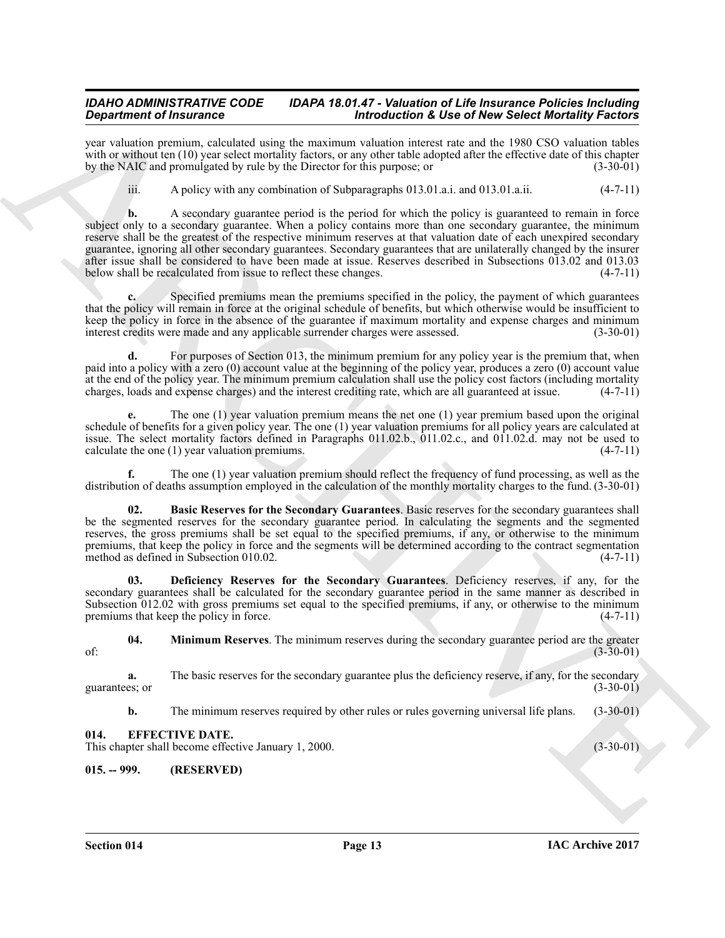year valuation premium, calculated using the maximum valuation interest rate and the 1980 CSO valuation tables with or without ten (10) year select mortality factors, or any other table adopted after the effective date of this chapter<br>by the NAIC and promulgated by rule by the Director for this purpose; or (3-30-01) by the NAIC and promulgated by rule by the Director for this purpose; or

iii. A policy with any combination of Subparagraphs 013.01.a.i. and 013.01.a.ii. (4-7-11)

Graduation of Findmatics control the material interaction of the calculation of the collect finder of the state of the state of the state of the state of the state of the state of the state of the state of the state of th **b.** A secondary guarantee period is the period for which the policy is guaranteed to remain in force subject only to a secondary guarantee. When a policy contains more than one secondary guarantee, the minimum reserve shall be the greatest of the respective minimum reserves at that valuation date of each unexpired secondary guarantee, ignoring all other secondary guarantees. Secondary guarantees that are unilaterally changed by the insurer after issue shall be considered to have been made at issue. Reserves described in Subsections 013.02 and 013.03 below shall be recalculated from issue to reflect these changes.

Specified premiums mean the premiums specified in the policy, the payment of which guarantees that the policy will remain in force at the original schedule of benefits, but which otherwise would be insufficient to keep the policy in force in the absence of the guarantee if maximum mortality and expense charges and minimum<br>interest credits were made and any applicable surrender charges were assessed.  $(3-30-01)$ interest credits were made and any applicable surrender charges were assessed.

For purposes of Section 013, the minimum premium for any policy year is the premium that, when paid into a policy with a zero (0) account value at the beginning of the policy year, produces a zero (0) account value at the end of the policy year. The minimum premium calculation shall use the policy cost factors (including mortality charges, loads and expense charges) and the interest crediting rate, which are all guaranteed at issue. charges, loads and expense charges) and the interest crediting rate, which are all guaranteed at issue.

**e.** The one (1) year valuation premium means the net one (1) year premium based upon the original schedule of benefits for a given policy year. The one (1) year valuation premiums for all policy years are calculated at issue. The select mortality factors defined in Paragraphs 011.02.b., 011.02.c., and 011.02.d. may not be used to calculate the one (1) year valuation premiums.  $(4-7-11)$ calculate the one  $(1)$  year valuation premiums.

**f.** The one (1) year valuation premium should reflect the frequency of fund processing, as well as the distribution of deaths assumption employed in the calculation of the monthly mortality charges to the fund. (3-30-01)

<span id="page-12-2"></span>**02. Basic Reserves for the Secondary Guarantees**. Basic reserves for the secondary guarantees shall be the segmented reserves for the secondary guarantee period. In calculating the segments and the segmented reserves, the gross premiums shall be set equal to the specified premiums, if any, or otherwise to the minimum premiums, that keep the policy in force and the segments will be determined according to the contract segmentation method as defined in Subsection 010.02. (4-7-11)

<span id="page-12-3"></span>**03. Deficiency Reserves for the Secondary Guarantees**. Deficiency reserves, if any, for the secondary guarantees shall be calculated for the secondary guarantee period in the same manner as described in Subsection 012.02 with gross premiums set equal to the specified premiums, if any, or otherwise to the minimum<br>premiums that keep the policy in force. premiums that keep the policy in force.

<span id="page-12-4"></span>**04. Minimum Reserves**. The minimum reserves during the secondary guarantee period are the greater (3-30-01) of:  $(3-30-01)$ 

**a.** The basic reserves for the secondary guarantee plus the deficiency reserve, if any, for the secondary ess or  $(3-30-01)$ guarantees; or  $(3-30-01)$ 

**b.** The minimum reserves required by other rules or rules governing universal life plans. (3-30-01)

#### <span id="page-12-0"></span>**014. EFFECTIVE DATE.**

This chapter shall become effective January 1, 2000. (3-30-01) (3-30-01)

#### <span id="page-12-1"></span>**015. -- 999. (RESERVED)**